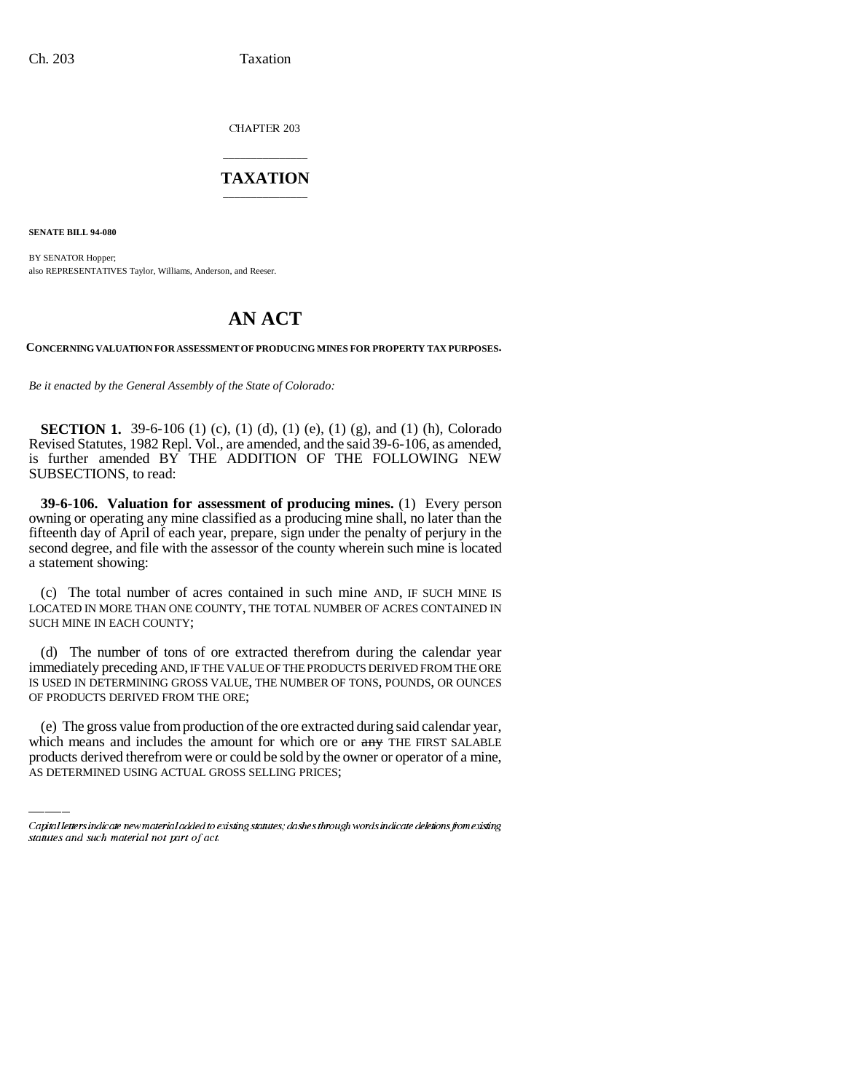CHAPTER 203

# \_\_\_\_\_\_\_\_\_\_\_\_\_\_\_ **TAXATION** \_\_\_\_\_\_\_\_\_\_\_\_\_\_\_

**SENATE BILL 94-080**

BY SENATOR Hopper; also REPRESENTATIVES Taylor, Williams, Anderson, and Reeser.

# **AN ACT**

**CONCERNING VALUATION FOR ASSESSMENT OF PRODUCING MINES FOR PROPERTY TAX PURPOSES.**

*Be it enacted by the General Assembly of the State of Colorado:*

**SECTION 1.** 39-6-106 (1) (c), (1) (d), (1) (e), (1) (g), and (1) (h), Colorado Revised Statutes, 1982 Repl. Vol., are amended, and the said 39-6-106, as amended, is further amended BY THE ADDITION OF THE FOLLOWING NEW SUBSECTIONS, to read:

**39-6-106. Valuation for assessment of producing mines.** (1) Every person owning or operating any mine classified as a producing mine shall, no later than the fifteenth day of April of each year, prepare, sign under the penalty of perjury in the second degree, and file with the assessor of the county wherein such mine is located a statement showing:

(c) The total number of acres contained in such mine AND, IF SUCH MINE IS LOCATED IN MORE THAN ONE COUNTY, THE TOTAL NUMBER OF ACRES CONTAINED IN SUCH MINE IN EACH COUNTY;

OF PRODUCTS DERIVED FROM THE ORE; (d) The number of tons of ore extracted therefrom during the calendar year immediately preceding AND, IF THE VALUE OF THE PRODUCTS DERIVED FROM THE ORE IS USED IN DETERMINING GROSS VALUE, THE NUMBER OF TONS, POUNDS, OR OUNCES

(e) The gross value from production of the ore extracted during said calendar year, which means and includes the amount for which ore or any THE FIRST SALABLE products derived therefrom were or could be sold by the owner or operator of a mine, AS DETERMINED USING ACTUAL GROSS SELLING PRICES;

Capital letters indicate new material added to existing statutes; dashes through words indicate deletions from existing statutes and such material not part of act.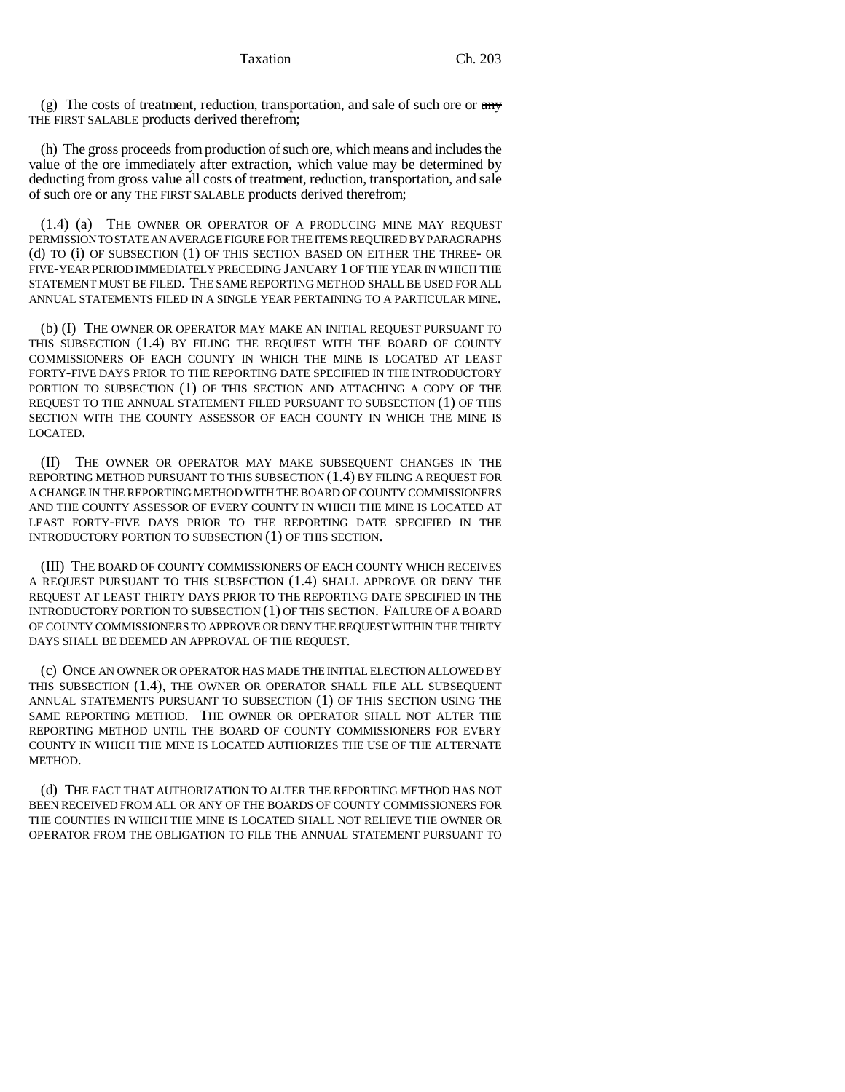(g) The costs of treatment, reduction, transportation, and sale of such ore or  $\frac{any}{ }$ THE FIRST SALABLE products derived therefrom;

(h) The gross proceeds from production of such ore, which means and includes the value of the ore immediately after extraction, which value may be determined by deducting from gross value all costs of treatment, reduction, transportation, and sale of such ore or any THE FIRST SALABLE products derived therefrom;

(1.4) (a) THE OWNER OR OPERATOR OF A PRODUCING MINE MAY REQUEST PERMISSION TO STATE AN AVERAGE FIGURE FOR THE ITEMS REQUIRED BY PARAGRAPHS (d) TO (i) OF SUBSECTION (1) OF THIS SECTION BASED ON EITHER THE THREE- OR FIVE-YEAR PERIOD IMMEDIATELY PRECEDING JANUARY 1 OF THE YEAR IN WHICH THE STATEMENT MUST BE FILED. THE SAME REPORTING METHOD SHALL BE USED FOR ALL ANNUAL STATEMENTS FILED IN A SINGLE YEAR PERTAINING TO A PARTICULAR MINE.

(b) (I) THE OWNER OR OPERATOR MAY MAKE AN INITIAL REQUEST PURSUANT TO THIS SUBSECTION (1.4) BY FILING THE REQUEST WITH THE BOARD OF COUNTY COMMISSIONERS OF EACH COUNTY IN WHICH THE MINE IS LOCATED AT LEAST FORTY-FIVE DAYS PRIOR TO THE REPORTING DATE SPECIFIED IN THE INTRODUCTORY PORTION TO SUBSECTION (1) OF THIS SECTION AND ATTACHING A COPY OF THE REQUEST TO THE ANNUAL STATEMENT FILED PURSUANT TO SUBSECTION (1) OF THIS SECTION WITH THE COUNTY ASSESSOR OF EACH COUNTY IN WHICH THE MINE IS LOCATED.

(II) THE OWNER OR OPERATOR MAY MAKE SUBSEQUENT CHANGES IN THE REPORTING METHOD PURSUANT TO THIS SUBSECTION (1.4) BY FILING A REQUEST FOR A CHANGE IN THE REPORTING METHOD WITH THE BOARD OF COUNTY COMMISSIONERS AND THE COUNTY ASSESSOR OF EVERY COUNTY IN WHICH THE MINE IS LOCATED AT LEAST FORTY-FIVE DAYS PRIOR TO THE REPORTING DATE SPECIFIED IN THE INTRODUCTORY PORTION TO SUBSECTION (1) OF THIS SECTION.

(III) THE BOARD OF COUNTY COMMISSIONERS OF EACH COUNTY WHICH RECEIVES A REQUEST PURSUANT TO THIS SUBSECTION (1.4) SHALL APPROVE OR DENY THE REQUEST AT LEAST THIRTY DAYS PRIOR TO THE REPORTING DATE SPECIFIED IN THE INTRODUCTORY PORTION TO SUBSECTION (1) OF THIS SECTION. FAILURE OF A BOARD OF COUNTY COMMISSIONERS TO APPROVE OR DENY THE REQUEST WITHIN THE THIRTY DAYS SHALL BE DEEMED AN APPROVAL OF THE REQUEST.

(c) ONCE AN OWNER OR OPERATOR HAS MADE THE INITIAL ELECTION ALLOWED BY THIS SUBSECTION (1.4), THE OWNER OR OPERATOR SHALL FILE ALL SUBSEQUENT ANNUAL STATEMENTS PURSUANT TO SUBSECTION (1) OF THIS SECTION USING THE SAME REPORTING METHOD. THE OWNER OR OPERATOR SHALL NOT ALTER THE REPORTING METHOD UNTIL THE BOARD OF COUNTY COMMISSIONERS FOR EVERY COUNTY IN WHICH THE MINE IS LOCATED AUTHORIZES THE USE OF THE ALTERNATE METHOD.

(d) THE FACT THAT AUTHORIZATION TO ALTER THE REPORTING METHOD HAS NOT BEEN RECEIVED FROM ALL OR ANY OF THE BOARDS OF COUNTY COMMISSIONERS FOR THE COUNTIES IN WHICH THE MINE IS LOCATED SHALL NOT RELIEVE THE OWNER OR OPERATOR FROM THE OBLIGATION TO FILE THE ANNUAL STATEMENT PURSUANT TO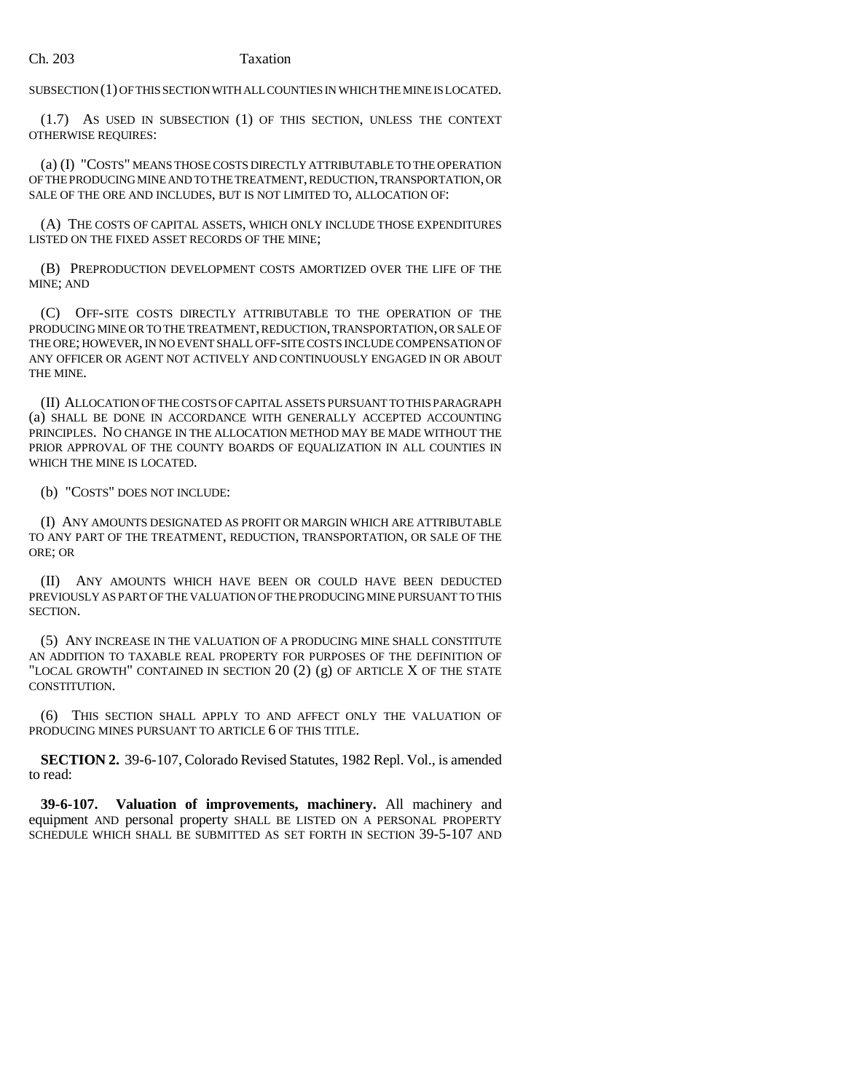### Ch. 203 Taxation

SUBSECTION (1) OF THIS SECTION WITH ALL COUNTIES IN WHICH THE MINE IS LOCATED.

(1.7) AS USED IN SUBSECTION (1) OF THIS SECTION, UNLESS THE CONTEXT OTHERWISE REQUIRES:

(a) (I) "COSTS" MEANS THOSE COSTS DIRECTLY ATTRIBUTABLE TO THE OPERATION OF THE PRODUCING MINE AND TO THE TREATMENT, REDUCTION, TRANSPORTATION, OR SALE OF THE ORE AND INCLUDES, BUT IS NOT LIMITED TO, ALLOCATION OF:

(A) THE COSTS OF CAPITAL ASSETS, WHICH ONLY INCLUDE THOSE EXPENDITURES LISTED ON THE FIXED ASSET RECORDS OF THE MINE;

(B) PREPRODUCTION DEVELOPMENT COSTS AMORTIZED OVER THE LIFE OF THE MINE; AND

(C) OFF-SITE COSTS DIRECTLY ATTRIBUTABLE TO THE OPERATION OF THE PRODUCING MINE OR TO THE TREATMENT, REDUCTION, TRANSPORTATION, OR SALE OF THE ORE; HOWEVER, IN NO EVENT SHALL OFF-SITE COSTS INCLUDE COMPENSATION OF ANY OFFICER OR AGENT NOT ACTIVELY AND CONTINUOUSLY ENGAGED IN OR ABOUT THE MINE.

(II) ALLOCATION OF THE COSTS OF CAPITAL ASSETS PURSUANT TO THIS PARAGRAPH (a) SHALL BE DONE IN ACCORDANCE WITH GENERALLY ACCEPTED ACCOUNTING PRINCIPLES. NO CHANGE IN THE ALLOCATION METHOD MAY BE MADE WITHOUT THE PRIOR APPROVAL OF THE COUNTY BOARDS OF EQUALIZATION IN ALL COUNTIES IN WHICH THE MINE IS LOCATED.

(b) "COSTS" DOES NOT INCLUDE:

(I) ANY AMOUNTS DESIGNATED AS PROFIT OR MARGIN WHICH ARE ATTRIBUTABLE TO ANY PART OF THE TREATMENT, REDUCTION, TRANSPORTATION, OR SALE OF THE ORE; OR

(II) ANY AMOUNTS WHICH HAVE BEEN OR COULD HAVE BEEN DEDUCTED PREVIOUSLY AS PART OF THE VALUATION OF THE PRODUCING MINE PURSUANT TO THIS SECTION.

(5) ANY INCREASE IN THE VALUATION OF A PRODUCING MINE SHALL CONSTITUTE AN ADDITION TO TAXABLE REAL PROPERTY FOR PURPOSES OF THE DEFINITION OF "LOCAL GROWTH" CONTAINED IN SECTION 20  $(2)$   $(g)$  OF ARTICLE X OF THE STATE CONSTITUTION.

(6) THIS SECTION SHALL APPLY TO AND AFFECT ONLY THE VALUATION OF PRODUCING MINES PURSUANT TO ARTICLE 6 OF THIS TITLE.

**SECTION 2.** 39-6-107, Colorado Revised Statutes, 1982 Repl. Vol., is amended to read:

**39-6-107. Valuation of improvements, machinery.** All machinery and equipment AND personal property SHALL BE LISTED ON A PERSONAL PROPERTY SCHEDULE WHICH SHALL BE SUBMITTED AS SET FORTH IN SECTION 39-5-107 AND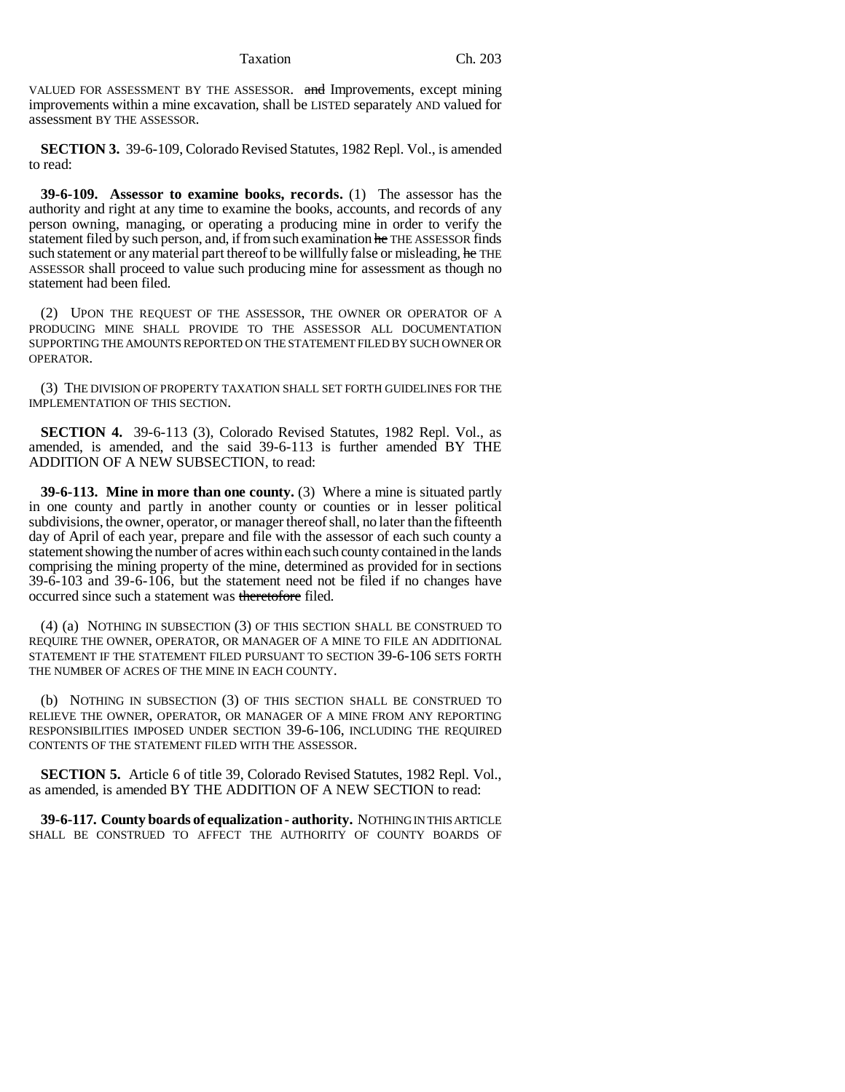Taxation Ch. 203

VALUED FOR ASSESSMENT BY THE ASSESSOR. and Improvements, except mining improvements within a mine excavation, shall be LISTED separately AND valued for assessment BY THE ASSESSOR.

**SECTION 3.** 39-6-109, Colorado Revised Statutes, 1982 Repl. Vol., is amended to read:

**39-6-109. Assessor to examine books, records.** (1) The assessor has the authority and right at any time to examine the books, accounts, and records of any person owning, managing, or operating a producing mine in order to verify the statement filed by such person, and, if from such examination he THE ASSESSOR finds such statement or any material part thereof to be willfully false or misleading, he THE ASSESSOR shall proceed to value such producing mine for assessment as though no statement had been filed.

(2) UPON THE REQUEST OF THE ASSESSOR, THE OWNER OR OPERATOR OF A PRODUCING MINE SHALL PROVIDE TO THE ASSESSOR ALL DOCUMENTATION SUPPORTING THE AMOUNTS REPORTED ON THE STATEMENT FILED BY SUCH OWNER OR OPERATOR.

(3) THE DIVISION OF PROPERTY TAXATION SHALL SET FORTH GUIDELINES FOR THE IMPLEMENTATION OF THIS SECTION.

**SECTION 4.** 39-6-113 (3), Colorado Revised Statutes, 1982 Repl. Vol., as amended, is amended, and the said 39-6-113 is further amended BY THE ADDITION OF A NEW SUBSECTION, to read:

**39-6-113. Mine in more than one county.** (3) Where a mine is situated partly in one county and partly in another county or counties or in lesser political subdivisions, the owner, operator, or manager thereof shall, no later than the fifteenth day of April of each year, prepare and file with the assessor of each such county a statement showing the number of acres within each such county contained in the lands comprising the mining property of the mine, determined as provided for in sections 39-6-103 and 39-6-106, but the statement need not be filed if no changes have occurred since such a statement was theretofore filed.

(4) (a) NOTHING IN SUBSECTION (3) OF THIS SECTION SHALL BE CONSTRUED TO REQUIRE THE OWNER, OPERATOR, OR MANAGER OF A MINE TO FILE AN ADDITIONAL STATEMENT IF THE STATEMENT FILED PURSUANT TO SECTION 39-6-106 SETS FORTH THE NUMBER OF ACRES OF THE MINE IN EACH COUNTY.

(b) NOTHING IN SUBSECTION (3) OF THIS SECTION SHALL BE CONSTRUED TO RELIEVE THE OWNER, OPERATOR, OR MANAGER OF A MINE FROM ANY REPORTING RESPONSIBILITIES IMPOSED UNDER SECTION 39-6-106, INCLUDING THE REQUIRED CONTENTS OF THE STATEMENT FILED WITH THE ASSESSOR.

**SECTION 5.** Article 6 of title 39, Colorado Revised Statutes, 1982 Repl. Vol., as amended, is amended BY THE ADDITION OF A NEW SECTION to read:

**39-6-117. County boards of equalization - authority.** NOTHING IN THIS ARTICLE SHALL BE CONSTRUED TO AFFECT THE AUTHORITY OF COUNTY BOARDS OF